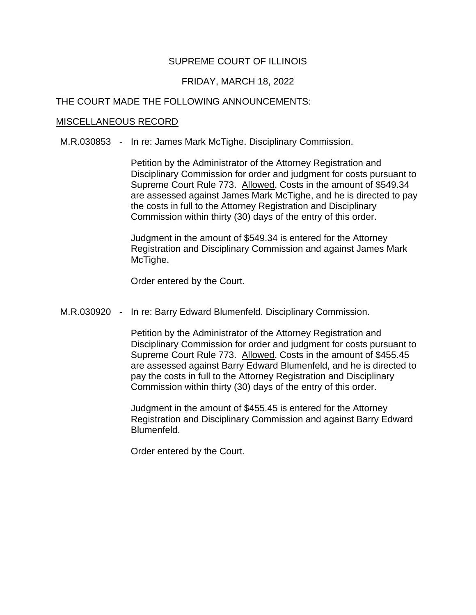# SUPREME COURT OF ILLINOIS

## FRIDAY, MARCH 18, 2022

### THE COURT MADE THE FOLLOWING ANNOUNCEMENTS:

### MISCELLANEOUS RECORD

M.R.030853 - In re: James Mark McTighe. Disciplinary Commission.

Supreme Court Rule 773. Allowed. Costs in the amount of \$549.34 Petition by the Administrator of the Attorney Registration and Disciplinary Commission for order and judgment for costs pursuant to are assessed against James Mark McTighe, and he is directed to pay the costs in full to the Attorney Registration and Disciplinary Commission within thirty (30) days of the entry of this order.

Judgment in the amount of \$549.34 is entered for the Attorney Registration and Disciplinary Commission and against James Mark McTighe.

Order entered by the Court.

M.R.030920 - In re: Barry Edward Blumenfeld. Disciplinary Commission.

Supreme Court Rule 773. Allowed. Costs in the amount of \$455.45 Petition by the Administrator of the Attorney Registration and Disciplinary Commission for order and judgment for costs pursuant to are assessed against Barry Edward Blumenfeld, and he is directed to pay the costs in full to the Attorney Registration and Disciplinary Commission within thirty (30) days of the entry of this order.

Judgment in the amount of \$455.45 is entered for the Attorney Registration and Disciplinary Commission and against Barry Edward Blumenfeld.

Order entered by the Court.